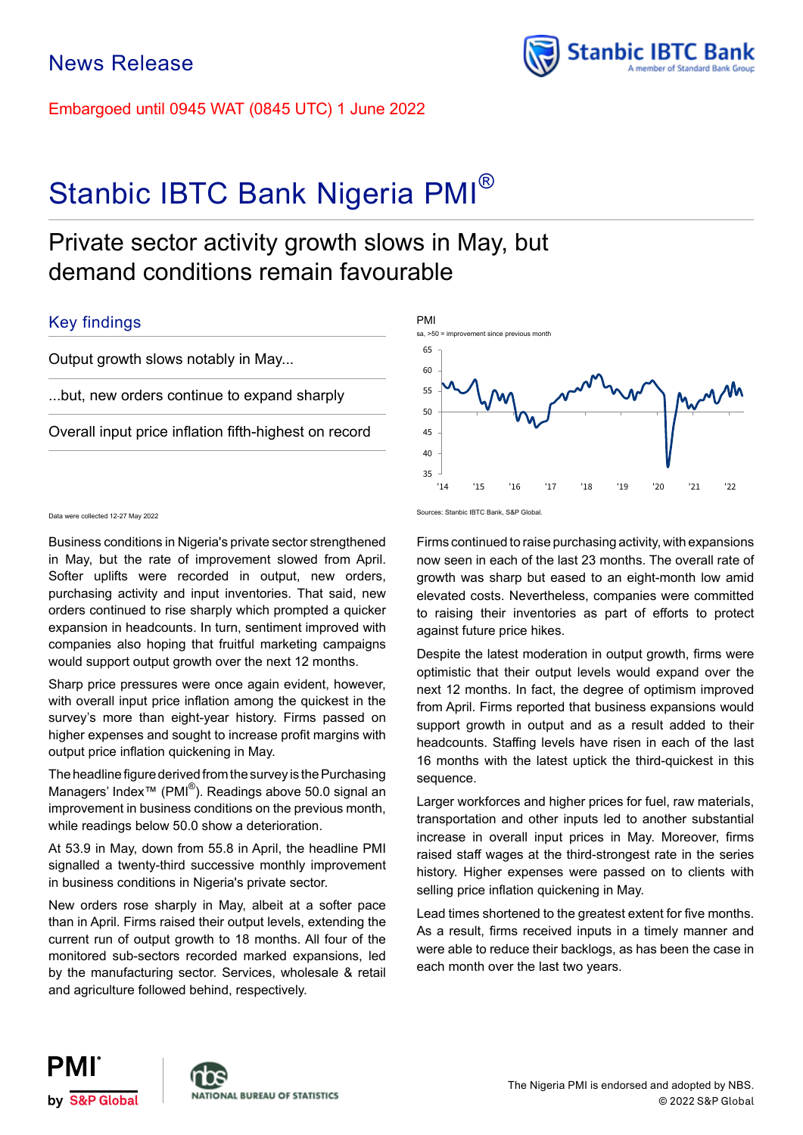Embargoed until 0945 WAT (0845 UTC) 1 June 2022

# Stanbic IBTC Bank Nigeria PMI<sup>®</sup>

# Private sector activity growth slows in May, but demand conditions remain favourable

# Key findings

Output growth slows notably in May...

...but, new orders continue to expand sharply

Overall input price inflation fifth-highest on record

Business conditions in Nigeria's private sector strengthened in May, but the rate of improvement slowed from April. Softer uplifts were recorded in output, new orders, purchasing activity and input inventories. That said, new orders continued to rise sharply which prompted a quicker expansion in headcounts. In turn, sentiment improved with companies also hoping that fruitful marketing campaigns would support output growth over the next 12 months.

Sharp price pressures were once again evident, however, with overall input price inflation among the quickest in the survey's more than eight-year history. Firms passed on higher expenses and sought to increase profit margins with output price inflation quickening in May.

The headline figure derived from the survey is the Purchasing Managers' Index<sup>™</sup> (PMI<sup>®</sup>). Readings above 50.0 signal an improvement in business conditions on the previous month, while readings below 50.0 show a deterioration.

At 53.9 in May, down from 55.8 in April, the headline PMI signalled a twenty-third successive monthly improvement in business conditions in Nigeria's private sector.

New orders rose sharply in May, albeit at a softer pace than in April. Firms raised their output levels, extending the current run of output growth to 18 months. All four of the monitored sub-sectors recorded marked expansions, led by the manufacturing sector. Services, wholesale & retail and agriculture followed behind, respectively.



Stanbic IBTC Bank

Sources: Stanbic IBTC Bank, S&P Global. Data were collected 12-27 May 2022

Firms continued to raise purchasing activity, with expansions now seen in each of the last 23 months. The overall rate of growth was sharp but eased to an eight-month low amid elevated costs. Nevertheless, companies were committed to raising their inventories as part of efforts to protect against future price hikes.

Despite the latest moderation in output growth, firms were optimistic that their output levels would expand over the next 12 months. In fact, the degree of optimism improved from April. Firms reported that business expansions would support growth in output and as a result added to their headcounts. Staffing levels have risen in each of the last 16 months with the latest uptick the third-quickest in this sequence.

Larger workforces and higher prices for fuel, raw materials, transportation and other inputs led to another substantial increase in overall input prices in May. Moreover, firms raised staff wages at the third-strongest rate in the series history. Higher expenses were passed on to clients with selling price inflation quickening in May.

Lead times shortened to the greatest extent for five months. As a result, firms received inputs in a timely manner and were able to reduce their backlogs, as has been the case in each month over the last two years.